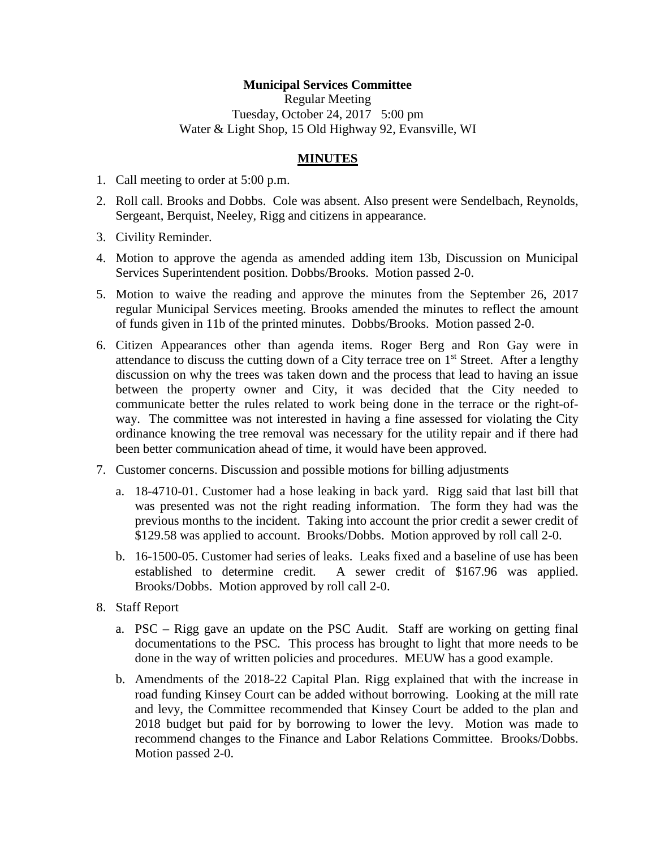## **Municipal Services Committee**

Regular Meeting Tuesday, October 24, 2017 5:00 pm Water & Light Shop, 15 Old Highway 92, Evansville, WI

## **MINUTES**

- 1. Call meeting to order at 5:00 p.m.
- 2. Roll call. Brooks and Dobbs. Cole was absent. Also present were Sendelbach, Reynolds, Sergeant, Berquist, Neeley, Rigg and citizens in appearance.
- 3. Civility Reminder.
- 4. Motion to approve the agenda as amended adding item 13b, Discussion on Municipal Services Superintendent position. Dobbs/Brooks. Motion passed 2-0.
- 5. Motion to waive the reading and approve the minutes from the September 26, 2017 regular Municipal Services meeting. Brooks amended the minutes to reflect the amount of funds given in 11b of the printed minutes. Dobbs/Brooks. Motion passed 2-0.
- 6. Citizen Appearances other than agenda items. Roger Berg and Ron Gay were in attendance to discuss the cutting down of a City terrace tree on 1<sup>st</sup> Street. After a lengthy discussion on why the trees was taken down and the process that lead to having an issue between the property owner and City, it was decided that the City needed to communicate better the rules related to work being done in the terrace or the right-ofway. The committee was not interested in having a fine assessed for violating the City ordinance knowing the tree removal was necessary for the utility repair and if there had been better communication ahead of time, it would have been approved.
- 7. Customer concerns. Discussion and possible motions for billing adjustments
	- a. 18-4710-01. Customer had a hose leaking in back yard. Rigg said that last bill that was presented was not the right reading information. The form they had was the previous months to the incident. Taking into account the prior credit a sewer credit of \$129.58 was applied to account. Brooks/Dobbs. Motion approved by roll call 2-0.
	- b. 16-1500-05. Customer had series of leaks. Leaks fixed and a baseline of use has been established to determine credit. A sewer credit of \$167.96 was applied. Brooks/Dobbs. Motion approved by roll call 2-0.
- 8. Staff Report
	- a. PSC Rigg gave an update on the PSC Audit. Staff are working on getting final documentations to the PSC. This process has brought to light that more needs to be done in the way of written policies and procedures. MEUW has a good example.
	- b. Amendments of the 2018-22 Capital Plan. Rigg explained that with the increase in road funding Kinsey Court can be added without borrowing. Looking at the mill rate and levy, the Committee recommended that Kinsey Court be added to the plan and 2018 budget but paid for by borrowing to lower the levy. Motion was made to recommend changes to the Finance and Labor Relations Committee. Brooks/Dobbs. Motion passed 2-0.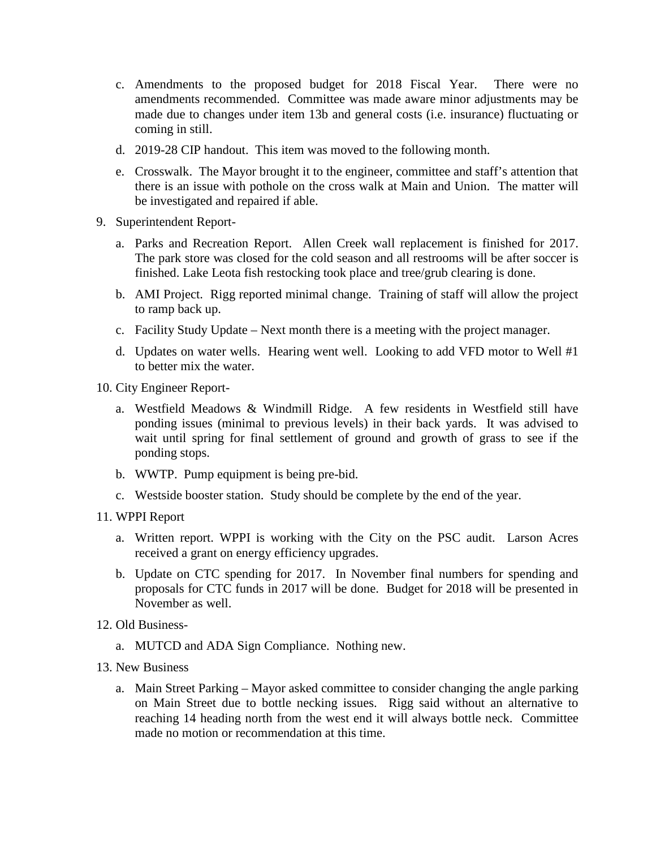- c. Amendments to the proposed budget for 2018 Fiscal Year. There were no amendments recommended. Committee was made aware minor adjustments may be made due to changes under item 13b and general costs (i.e. insurance) fluctuating or coming in still.
- d. 2019-28 CIP handout. This item was moved to the following month.
- e. Crosswalk. The Mayor brought it to the engineer, committee and staff's attention that there is an issue with pothole on the cross walk at Main and Union. The matter will be investigated and repaired if able.
- 9. Superintendent Report
	- a. Parks and Recreation Report. Allen Creek wall replacement is finished for 2017. The park store was closed for the cold season and all restrooms will be after soccer is finished. Lake Leota fish restocking took place and tree/grub clearing is done.
	- b. AMI Project. Rigg reported minimal change. Training of staff will allow the project to ramp back up.
	- c. Facility Study Update Next month there is a meeting with the project manager.
	- d. Updates on water wells. Hearing went well. Looking to add VFD motor to Well #1 to better mix the water.
- 10. City Engineer Report
	- a. Westfield Meadows & Windmill Ridge. A few residents in Westfield still have ponding issues (minimal to previous levels) in their back yards. It was advised to wait until spring for final settlement of ground and growth of grass to see if the ponding stops.
	- b. WWTP. Pump equipment is being pre-bid.
	- c. Westside booster station. Study should be complete by the end of the year.
- 11. WPPI Report
	- a. Written report. WPPI is working with the City on the PSC audit. Larson Acres received a grant on energy efficiency upgrades.
	- b. Update on CTC spending for 2017. In November final numbers for spending and proposals for CTC funds in 2017 will be done. Budget for 2018 will be presented in November as well.
- 12. Old Business
	- a. MUTCD and ADA Sign Compliance. Nothing new.
- 13. New Business
	- a. Main Street Parking Mayor asked committee to consider changing the angle parking on Main Street due to bottle necking issues. Rigg said without an alternative to reaching 14 heading north from the west end it will always bottle neck. Committee made no motion or recommendation at this time.